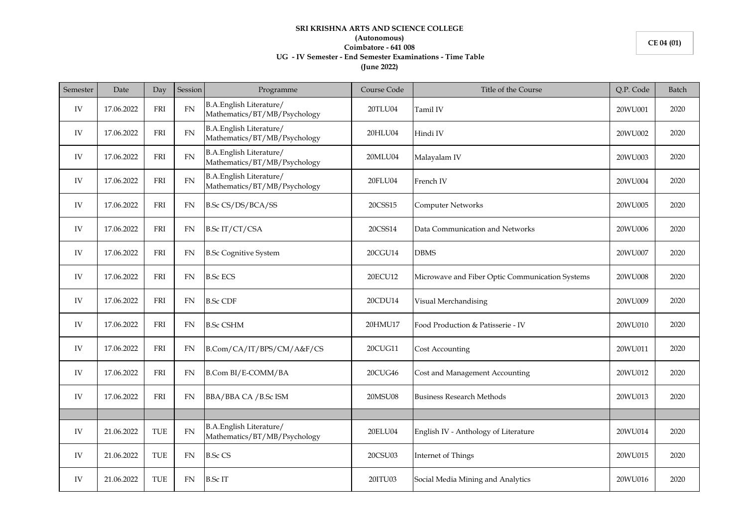## **SRI KRISHNA ARTS AND SCIENCE COLLEGE (Autonomous) Coimbatore - 641 008 UG - IV Semester - End Semester Examinations - Time Table (June 2022)**

| Semester | Date       | Day         | Session    | Programme                                               | Course Code | Title of the Course                             | Q.P. Code | Batch |
|----------|------------|-------------|------------|---------------------------------------------------------|-------------|-------------------------------------------------|-----------|-------|
| IV       | 17.06.2022 | FRI         | FN         | B.A.English Literature/<br>Mathematics/BT/MB/Psychology | 20TLU04     | Tamil IV                                        | 20WU001   | 2020  |
| IV       | 17.06.2022 | ${\rm FRI}$ | ${\rm FN}$ | B.A.English Literature/<br>Mathematics/BT/MB/Psychology | 20HLU04     | Hindi IV                                        | 20WU002   | 2020  |
| IV       | 17.06.2022 | FRI         | <b>FN</b>  | B.A.English Literature/<br>Mathematics/BT/MB/Psychology | 20MLU04     | Malayalam IV                                    | 20WU003   | 2020  |
| IV       | 17.06.2022 | FRI         | <b>FN</b>  | B.A.English Literature/<br>Mathematics/BT/MB/Psychology | 20FLU04     | French IV                                       | 20WU004   | 2020  |
| IV       | 17.06.2022 | FRI         | <b>FN</b>  | B.Sc CS/DS/BCA/SS                                       | 20CSS15     | Computer Networks                               | 20WU005   | 2020  |
| IV       | 17.06.2022 | FRI         | <b>FN</b>  | B.Sc IT/CT/CSA                                          | 20CSS14     | Data Communication and Networks                 | 20WU006   | 2020  |
| IV       | 17.06.2022 | FRI         | <b>FN</b>  | <b>B.Sc Cognitive System</b>                            | 20CGU14     | <b>DBMS</b>                                     | 20WU007   | 2020  |
| IV       | 17.06.2022 | FRI         | <b>FN</b>  | <b>B.Sc ECS</b>                                         | 20ECU12     | Microwave and Fiber Optic Communication Systems | 20WU008   | 2020  |
| IV       | 17.06.2022 | FRI         | <b>FN</b>  | <b>B.Sc CDF</b>                                         | 20CDU14     | Visual Merchandising                            | 20WU009   | 2020  |
| IV       | 17.06.2022 | FRI         | <b>FN</b>  | <b>B.Sc CSHM</b>                                        | 20HMU17     | Food Production & Patisserie - IV               | 20WU010   | 2020  |
| IV       | 17.06.2022 | <b>FRI</b>  | <b>FN</b>  | B.Com/CA/IT/BPS/CM/A&F/CS                               | 20CUG11     | Cost Accounting                                 | 20WU011   | 2020  |
| IV       | 17.06.2022 | FRI         | <b>FN</b>  | B.Com BI/E-COMM/BA                                      | 20CUG46     | Cost and Management Accounting                  | 20WU012   | 2020  |
| IV       | 17.06.2022 | FRI         | FN         | BBA/BBA CA / B.Sc ISM                                   | 20MSU08     | <b>Business Research Methods</b>                | 20WU013   | 2020  |
|          |            |             |            |                                                         |             |                                                 |           |       |
| IV       | 21.06.2022 | TUE         | <b>FN</b>  | B.A.English Literature/<br>Mathematics/BT/MB/Psychology | 20ELU04     | English IV - Anthology of Literature            | 20WU014   | 2020  |
| IV       | 21.06.2022 | TUE         | <b>FN</b>  | <b>B.Sc CS</b>                                          | 20CSU03     | Internet of Things                              | 20WU015   | 2020  |
| IV       | 21.06.2022 | TUE         | FN         | <b>B.Sc IT</b>                                          | 20ITU03     | Social Media Mining and Analytics               | 20WU016   | 2020  |

**CE 04 (01)**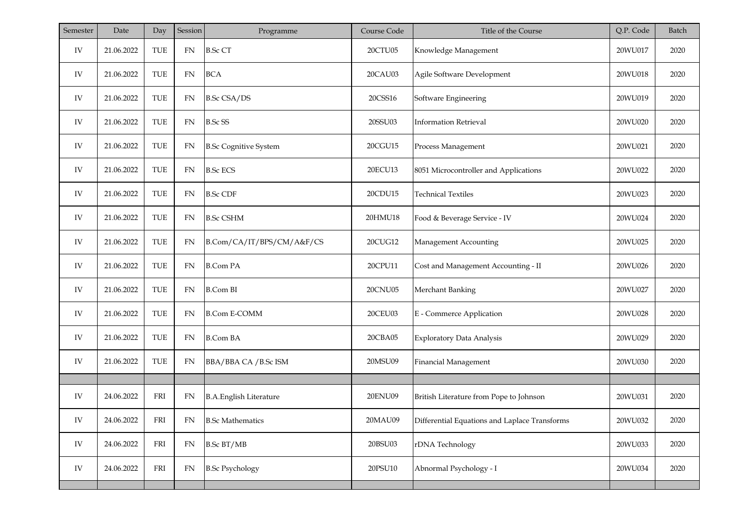| Semester   | Date       | Day        | Session    | Programme                     | Course Code | Title of the Course                           | Q.P. Code | Batch |
|------------|------------|------------|------------|-------------------------------|-------------|-----------------------------------------------|-----------|-------|
| IV         | 21.06.2022 | TUE        | <b>FN</b>  | <b>B.Sc CT</b>                | 20CTU05     | Knowledge Management                          | 20WU017   | 2020  |
| IV         | 21.06.2022 | TUE        | <b>FN</b>  | <b>BCA</b>                    | 20CAU03     | Agile Software Development                    | 20WU018   | 2020  |
| IV         | 21.06.2022 | TUE        | FN         | <b>B.Sc CSA/DS</b>            | 20CSS16     | Software Engineering                          | 20WU019   | 2020  |
| IV         | 21.06.2022 | TUE        | FN         | <b>B.Sc SS</b>                | 20SSU03     | <b>Information Retrieval</b>                  | 20WU020   | 2020  |
| IV         | 21.06.2022 | TUE        | <b>FN</b>  | <b>B.Sc Cognitive System</b>  | 20CGU15     | Process Management                            | 20WU021   | 2020  |
| IV         | 21.06.2022 | TUE        | ${\rm FN}$ | <b>B.Sc ECS</b>               | 20ECU13     | 8051 Microcontroller and Applications         | 20WU022   | 2020  |
| IV         | 21.06.2022 | TUE        | ${\rm FN}$ | <b>B.Sc CDF</b>               | 20CDU15     | <b>Technical Textiles</b>                     | 20WU023   | 2020  |
| IV         | 21.06.2022 | TUE        | ${\rm FN}$ | <b>B.Sc CSHM</b>              | 20HMU18     | Food & Beverage Service - IV                  | 20WU024   | 2020  |
| IV         | 21.06.2022 | TUE        | <b>FN</b>  | B.Com/CA/IT/BPS/CM/A&F/CS     | 20CUG12     | Management Accounting                         | 20WU025   | 2020  |
| IV         | 21.06.2022 | TUE        | ${\rm FN}$ | <b>B.Com PA</b>               | 20CPU11     | Cost and Management Accounting - II           | 20WU026   | 2020  |
| IV         | 21.06.2022 | TUE        | ${\rm FN}$ | <b>B.Com BI</b>               | 20CNU05     | Merchant Banking                              | 20WU027   | 2020  |
| IV         | 21.06.2022 | <b>TUE</b> | ${\rm FN}$ | <b>B.Com E-COMM</b>           | 20CEU03     | E - Commerce Application                      | 20WU028   | 2020  |
| IV         | 21.06.2022 | TUE        | <b>FN</b>  | <b>B.Com BA</b>               | 20CBA05     | <b>Exploratory Data Analysis</b>              | 20WU029   | 2020  |
| IV         | 21.06.2022 | TUE        | FN         | BBA/BBA CA / B.Sc ISM         | 20MSU09     | Financial Management                          | 20WU030   | 2020  |
|            |            |            |            |                               |             |                                               |           |       |
| IV         | 24.06.2022 | FRI        | ${\rm FN}$ | <b>B.A.English Literature</b> | 20ENU09     | British Literature from Pope to Johnson       | 20WU031   | 2020  |
| IV         | 24.06.2022 | FRI        | FN         | <b>B.Sc Mathematics</b>       | 20MAU09     | Differential Equations and Laplace Transforms | 20WU032   | 2020  |
| ${\rm IV}$ | 24.06.2022 | FRI        | FN         | <b>B.Sc BT/MB</b>             | 20BSU03     | rDNA Technology                               | 20WU033   | 2020  |
| ${\rm IV}$ | 24.06.2022 | FRI        | FN         | <b>B.Sc Psychology</b>        | 20PSU10     | Abnormal Psychology - I                       | 20WU034   | 2020  |
|            |            |            |            |                               |             |                                               |           |       |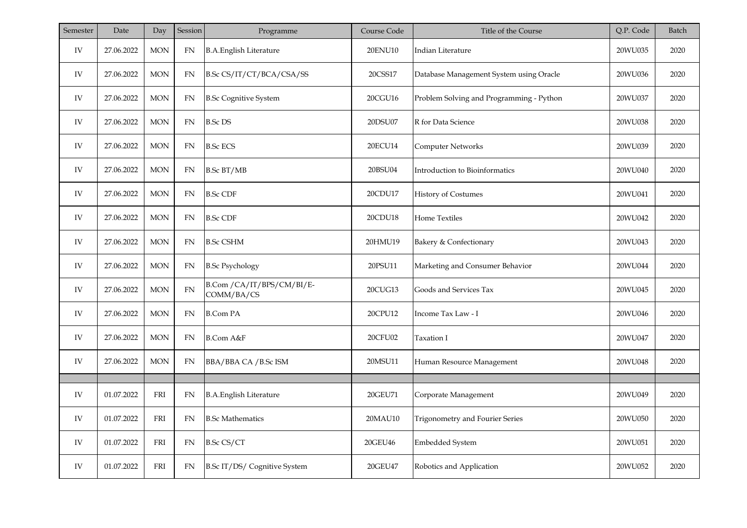| Semester | Date       | Day         | Session    | Programme                                | Course Code    | Title of the Course                      | Q.P. Code | <b>Batch</b> |
|----------|------------|-------------|------------|------------------------------------------|----------------|------------------------------------------|-----------|--------------|
| IV       | 27.06.2022 | <b>MON</b>  | ${\rm FN}$ | <b>B.A.English Literature</b>            | 20ENU10        | Indian Literature                        | 20WU035   | 2020         |
| IV       | 27.06.2022 | <b>MON</b>  | <b>FN</b>  | B.Sc CS/IT/CT/BCA/CSA/SS                 | 20CSS17        | Database Management System using Oracle  | 20WU036   | 2020         |
| IV       | 27.06.2022 | <b>MON</b>  | FN         | <b>B.Sc Cognitive System</b>             | 20CGU16        | Problem Solving and Programming - Python | 20WU037   | 2020         |
| IV       | 27.06.2022 | <b>MON</b>  | FN         | <b>B.Sc DS</b>                           | 20DSU07        | R for Data Science                       | 20WU038   | 2020         |
| IV       | 27.06.2022 | <b>MON</b>  | FN         | <b>B.Sc ECS</b>                          | 20ECU14        | Computer Networks                        | 20WU039   | 2020         |
| IV       | 27.06.2022 | <b>MON</b>  | FN         | <b>B.Sc BT/MB</b>                        | 20BSU04        | Introduction to Bioinformatics           | 20WU040   | 2020         |
| IV       | 27.06.2022 | <b>MON</b>  | FN         | <b>B.Sc CDF</b>                          | 20CDU17        | <b>History of Costumes</b>               | 20WU041   | 2020         |
| IV       | 27.06.2022 | $MON$       | <b>FN</b>  | <b>B.Sc CDF</b>                          | 20CDU18        | Home Textiles                            | 20WU042   | 2020         |
| IV       | 27.06.2022 | $MON$       | FN         | <b>B.Sc CSHM</b>                         | 20HMU19        | Bakery & Confectionary                   | 20WU043   | 2020         |
| IV       | 27.06.2022 | $MON$       | ${\rm FN}$ | <b>B.Sc Psychology</b>                   | 20PSU11        | Marketing and Consumer Behavior          | 20WU044   | 2020         |
| IV       | 27.06.2022 | $MON$       | ${\rm FN}$ | B.Com / CA/IT/BPS/CM/BI/E-<br>COMM/BA/CS | 20CUG13        | Goods and Services Tax                   | 20WU045   | 2020         |
| IV       | 27.06.2022 | $MON$       | ${\rm FN}$ | <b>B.Com PA</b>                          | 20CPU12        | Income Tax Law - I                       | 20WU046   | 2020         |
| IV       | 27.06.2022 | $MON$       | ${\rm FN}$ | B.Com A&F                                | <b>20CFU02</b> | Taxation I                               | 20WU047   | 2020         |
| IV       | 27.06.2022 | <b>MON</b>  | <b>FN</b>  | BBA/BBA CA / B.Sc ISM                    | 20MSU11        | Human Resource Management                | 20WU048   | 2020         |
|          |            |             |            |                                          |                |                                          |           |              |
| IV       | 01.07.2022 | ${\rm FRI}$ | <b>FN</b>  | <b>B.A.English Literature</b>            | 20GEU71        | Corporate Management                     | 20WU049   | 2020         |
| IV       | 01.07.2022 | FRI         | FN         | <b>B.Sc Mathematics</b>                  | 20MAU10        | Trigonometry and Fourier Series          | 20WU050   | 2020         |
| IV       | 01.07.2022 | FRI         | FN         | <b>B.Sc CS/CT</b>                        | 20GEU46        | Embedded System                          | 20WU051   | 2020         |
| IV       | 01.07.2022 | <b>FRI</b>  | ${\rm FN}$ | B.Sc IT/DS/ Cognitive System             | 20GEU47        | Robotics and Application                 | 20WU052   | 2020         |